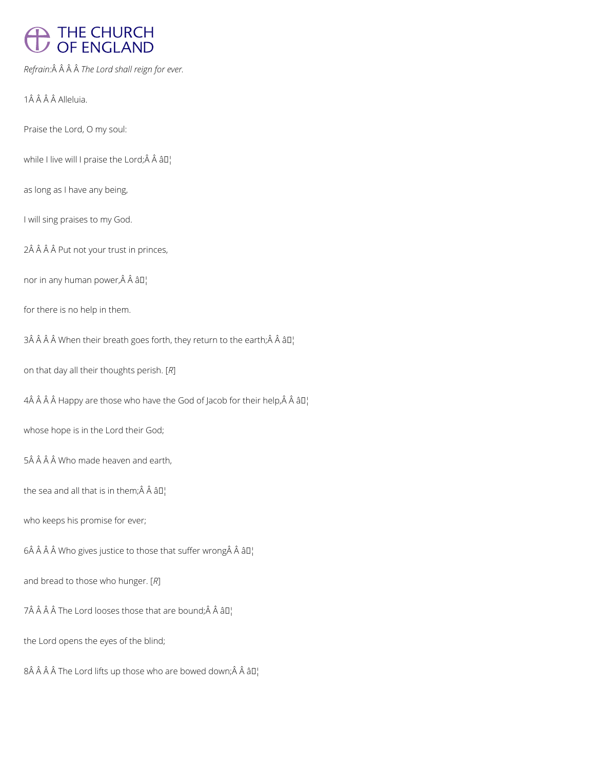# THE CHURCH<br>OF ENGLAND

*Refrain: The Lord shall reign for ever.*

1Â Â Â Â Alleluia.

Praise the Lord, O my soul:

while I live will I praise the Lord; $\hat{A}$   $\hat{A}$   $\hat{a}$  $\Gamma$ <sub>1</sub>

as long as I have any being,

I will sing praises to my God.

2Â Â Â Â Put not your trust in princes,

nor in any human power, Â Â â []

for there is no help in them.

3Â Â Â Â When their breath goes forth, they return to the earth; Â Â â D¦

on that day all their thoughts perish. [*R*]

 $4\hat{A}$   $\hat{A}$   $\hat{A}$   $A$  Happy are those who have the God of Jacob for their help, $\hat{A}$   $\hat{A}$   $\hat{a}$   $\Pi$ <sub>1</sub>

whose hope is in the Lord their God;

5Â Â Â Â Who made heaven and earth,

the sea and all that is in them; $\hat{A}$   $\hat{A}$   $\hat{a}$  $\Box$ 

who keeps his promise for ever;

6 $\hat{A}$   $\hat{A}$   $\hat{A}$   $\hat{B}$  Who gives justice to those that suffer wrong $\hat{A}$   $\hat{A}$   $\hat{B}$  $\Gamma$ <sub>1</sub>

and bread to those who hunger. [*R*]

 $7\hat{A}$   $\hat{A}$   $\hat{A}$   $\hat{A}$  The Lord looses those that are bound;  $\hat{A}$   $\hat{A}$   $\hat{a}$   $\Box$ 

the Lord opens the eyes of the blind;

 $8\hat{A}$   $\hat{A}$   $\hat{A}$  The Lord lifts up those who are bowed down; $\hat{A}$   $\hat{A}$   $\hat{a}$   $\Box$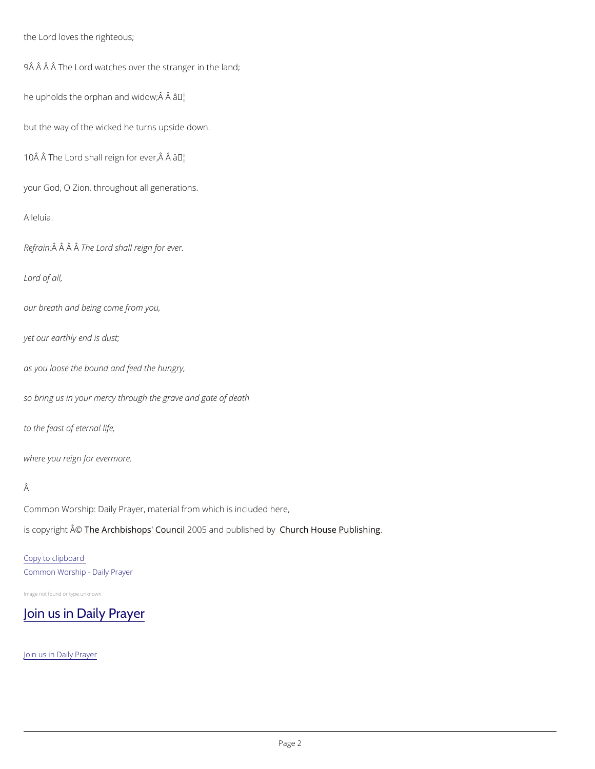the Lord loves the righteous;

9Â Â Â Â The Lord watches over the stranger in the land;

he upholds the orphan amad widow;  $\hat{A}$   $\hat{A}$ 

but the way of the wicked he turns upside down.

10  $\hat{A}$   $\hat{A}$  The Lord shall reign for ever,  $\hat{A}$   $\hat{A}$ 

your God, O Zion, throughout all generations.

Alleluia.

Refra $\hat{A}$ in $\hat{A}$ :  $\hat{A}$ Th $\hat{A}$ e Lord shall reign for ever.

Common Worship: Daily Prayer, material from which is included here, is copyrighth  $\hat{\mathbb{A}}$  @Archbishops' 2000 u5 n and publish hend roby House Publishing

Lord of all,

our breath and being come from you,

yet our earthly end is dust;

as you loose the bound and feed the hungry,

so bring us in your mercy through the grave and gate of death

to the feast of eternal life,

where you reign for evermore.

### Â

### Copy to clipboard

Common Worship - Daily Prayer

Image not found or type unknown

## [Join us in Daily Prayer](https://www.churchofengland.org/prayer-and-worship/join-us-in-daily-prayer)

Join us in Daily Prayer